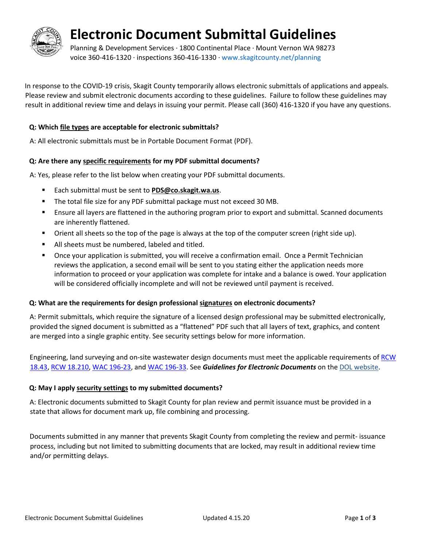

## **Electronic Document Submittal Guidelines**

Planning & Development Services · 1800 Continental Place · Mount Vernon WA 98273 voice 360-416-1320 · inspections 360-416-1330 · [www.skagitcounty.net/planning](http://www.skagitcounty.net/planning)

In response to the COVID-19 crisis, Skagit County temporarily allows electronic submittals of applications and appeals. Please review and submit electronic documents according to these guidelines. Failure to follow these guidelines may result in additional review time and delays in issuing your permit. Please call (360) 416-1320 if you have any questions.

#### **Q: Which file types are acceptable for electronic submittals?**

A: All electronic submittals must be in Portable Document Format (PDF).

#### **Q: Are there any specific requirements for my PDF submittal documents?**

A: Yes, please refer to the list below when creating your PDF submittal documents.

- Each submittal must be sent to **PDS@co.skagit.wa.us**.
- **The total file size for any PDF submittal package must not exceed 30 MB.**
- Ensure all layers are flattened in the authoring program prior to export and submittal. Scanned documents are inherently flattened.
- Orient all sheets so the top of the page is always at the top of the computer screen (right side up).
- All sheets must be numbered, labeled and titled.
- Once your application is submitted, you will receive a confirmation email. Once a Permit Technician reviews the application, a second email will be sent to you stating either the application needs more information to proceed or your application was complete for intake and a balance is owed. Your application will be considered officially incomplete and will not be reviewed until payment is received.

#### **Q: What are the requirements for design professional signatures on electronic documents?**

A: Permit submittals, which require the signature of a licensed design professional may be submitted electronically, provided the signed document is submitted as a "flattened" PDF such that all layers of text, graphics, and content are merged into a single graphic entity. See security settings below for more information.

Engineering, land surveying and on-site wastewater design documents must meet the applicable requirements o[f RCW](http://app.leg.wa.gov/rcw/default.aspx?cite=18.43)  [18.43,](http://app.leg.wa.gov/rcw/default.aspx?cite=18.43) [RCW 18.210,](http://app.leg.wa.gov/rcw/default.aspx?cite=18.210) [WAC 196-23,](http://apps.leg.wa.gov/WAC/default.aspx?cite=196-23) and [WAC 196-33.](http://apps.leg.wa.gov/WAC/default.aspx?cite=196-33) See *Guidelines for Electronic Documents* on th[e DOL website.](http://www.dol.wa.gov/business/engineerslandsurveyors/stampseal.html)

#### **Q: May I apply security settings to my submitted documents?**

A: Electronic documents submitted to Skagit County for plan review and permit issuance must be provided in a state that allows for document mark up, file combining and processing.

Documents submitted in any manner that prevents Skagit County from completing the review and permit- issuance process, including but not limited to submitting documents that are locked, may result in additional review time and/or permitting delays.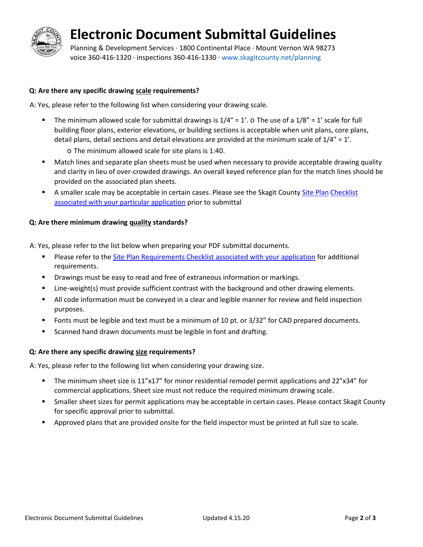# **Electronic Document Submittal Guidelines**

Planning & Development Services · 1800 Continental Place · Mount Vernon WA 98273 voice 360-416-1320 · inspections 360-416-1330 · [www.skagitcounty.net/planning](http://www.skagitcounty.net/planning)

#### **Q: Are there any specific drawing scale requirements?**

A: Yes, please refer to the following list when considering your drawing scale.

- The minimum allowed scale for submittal drawings is  $1/4$ " =  $1'$ . o The use of a  $1/8$ " =  $1'$  scale for full building floor plans, exterior elevations, or building sections is acceptable when unit plans, core plans, detail plans, detail sections and detail elevations are provided at the minimum scale of  $1/4" = 1'$ .
	- o The minimum allowed scale for site plans is 1:40.
- **Match lines and separate plan sheets must be used when necessary to provide acceptable drawing quality** and clarity in lieu of over-crowded drawings. An overall keyed reference plan for the match lines should be provided on the associated plan sheets.
- A smaller scale may be acceptable in certain cases. Please see the Skagit County [Site Plan](https://www.skagitcounty.net/Departments/PlanningAndPermit/forms.htm) Checklist [associated with your particular application](https://www.skagitcounty.net/Departments/PlanningAndPermit/forms.htm) prior to submittal

#### **Q: Are there minimum drawing quality standards?**

A: Yes, please refer to the list below when preparing your PDF submittal documents.

- **PLEASE 2018 Please refer to th[e Site Plan Requirements Checklist associated with your application](https://www.skagitcounty.net/Departments/PlanningAndPermit/forms.htm) for additional** requirements.
- **Phiarcy in Arison** Drawings must be easy to read and free of extraneous information or markings.
- Line-weight(s) must provide sufficient contrast with the background and other drawing elements.
- All code information must be conveyed in a clear and legible manner for review and field inspection purposes.
- **Fack** fonts must be legible and text must be a minimum of 10 pt. or 3/32" for CAD prepared documents.
- **Scanned hand drawn documents must be legible in font and drafting.**

#### **Q: Are there any specific drawing size requirements?**

A: Yes, please refer to the following list when considering your drawing size.

- The minimum sheet size is 11"x17" for minor residential remodel permit applications and 22"x34" for commercial applications. Sheet size must not reduce the required minimum drawing scale.
- Smaller sheet sizes for permit applications may be acceptable in certain cases. Please contact Skagit County for specific approval prior to submittal.
- Approved plans that are provided onsite for the field inspector must be printed at full size to scale.